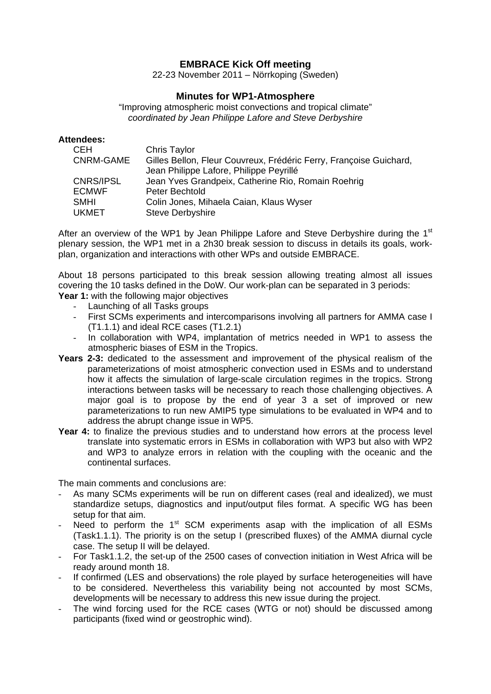## **EMBRACE Kick Off meeting**

22-23 November 2011 – Nörrkoping (Sweden)

## **Minutes for WP1-Atmosphere**

"Improving atmospheric moist convections and tropical climate" *coordinated by Jean Philippe Lafore and Steve Derbyshire* 

## **Attendees:**

| <b>CEH</b>   | Chris Taylor                                                       |
|--------------|--------------------------------------------------------------------|
| CNRM-GAME    | Gilles Bellon, Fleur Couvreux, Frédéric Ferry, Françoise Guichard, |
|              | Jean Philippe Lafore, Philippe Peyrillé                            |
| CNRS/IPSL    | Jean Yves Grandpeix, Catherine Rio, Romain Roehrig                 |
| <b>ECMWF</b> | Peter Bechtold                                                     |
| <b>SMHI</b>  | Colin Jones, Mihaela Caian, Klaus Wyser                            |
| <b>UKMET</b> | <b>Steve Derbyshire</b>                                            |

After an overview of the WP1 by Jean Philippe Lafore and Steve Derbyshire during the 1<sup>st</sup> plenary session, the WP1 met in a 2h30 break session to discuss in details its goals, workplan, organization and interactions with other WPs and outside EMBRACE.

About 18 persons participated to this break session allowing treating almost all issues covering the 10 tasks defined in the DoW. Our work-plan can be separated in 3 periods: Year 1: with the following major objectives

- Launching of all Tasks groups
- First SCMs experiments and intercomparisons involving all partners for AMMA case I (T1.1.1) and ideal RCE cases (T1.2.1)
- In collaboration with WP4, implantation of metrics needed in WP1 to assess the atmospheric biases of ESM in the Tropics.
- **Years 2-3:** dedicated to the assessment and improvement of the physical realism of the parameterizations of moist atmospheric convection used in ESMs and to understand how it affects the simulation of large-scale circulation regimes in the tropics. Strong interactions between tasks will be necessary to reach those challenging objectives. A major goal is to propose by the end of year 3 a set of improved or new parameterizations to run new AMIP5 type simulations to be evaluated in WP4 and to address the abrupt change issue in WP5.
- **Year 4:** to finalize the previous studies and to understand how errors at the process level translate into systematic errors in ESMs in collaboration with WP3 but also with WP2 and WP3 to analyze errors in relation with the coupling with the oceanic and the continental surfaces.

The main comments and conclusions are:

- As many SCMs experiments will be run on different cases (real and idealized), we must standardize setups, diagnostics and input/output files format. A specific WG has been setup for that aim.
- Need to perform the  $1<sup>st</sup>$  SCM experiments asap with the implication of all ESMs (Task1.1.1). The priority is on the setup I (prescribed fluxes) of the AMMA diurnal cycle case. The setup II will be delayed.
- For Task1.1.2, the set-up of the 2500 cases of convection initiation in West Africa will be ready around month 18.
- If confirmed (LES and observations) the role played by surface heterogeneities will have to be considered. Nevertheless this variability being not accounted by most SCMs, developments will be necessary to address this new issue during the project.
- The wind forcing used for the RCE cases (WTG or not) should be discussed among participants (fixed wind or geostrophic wind).